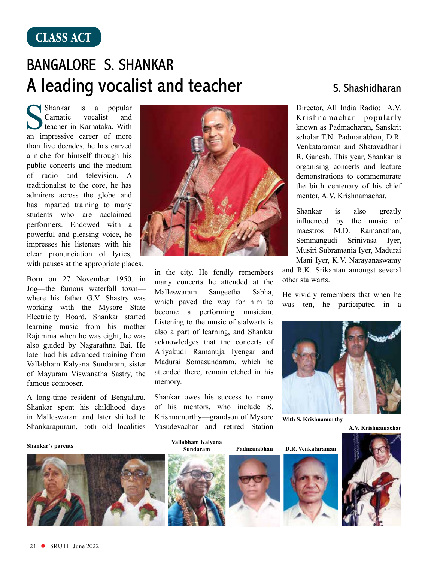## **CLASS ACT**

## Bangalore S. Shankar A leading vocalist and teacher S. Shashidharan

Shankar is a popular<br>Carnatic vocalist and Carnatic teacher in Karnataka. With an impressive career of more than five decades, he has carved a niche for himself through his public concerts and the medium of radio and television. A traditionalist to the core, he has admirers across the globe and has imparted training to many students who are acclaimed performers. Endowed with a powerful and pleasing voice, he impresses his listeners with his clear pronunciation of lyrics, with pauses at the appropriate places.

Born on 27 November 1950, in Jog—the famous waterfall town where his father G.V. Shastry was working with the Mysore State Electricity Board, Shankar started learning music from his mother Rajamma when he was eight, he was also guided by Nagarathna Bai. He later had his advanced training from Vallabham Kalyana Sundaram, sister of Mayuram Viswanatha Sastry, the famous composer.

A long-time resident of Bengaluru, Shankar spent his childhood days in Malleswaram and later shifted to Shankarapuram, both old localities

## **Shankar's parents Vallabham Kalyana**





in the city. He fondly remembers many concerts he attended at the Malleswaram Sangeetha Sabha, which paved the way for him to become a performing musician. Listening to the music of stalwarts is also a part of learning, and Shankar acknowledges that the concerts of Ariyakudi Ramanuja Iyengar and Madurai Somasundaram, which he attended there, remain etched in his memory.

Shankar owes his success to many of his mentors, who include S. Krishnamurthy—grandson of Mysore Vasudevachar and retired Station

**Sundaram**

Director, All India Radio; A.V. Krishnamachar—popularly known as Padmacharan, Sanskrit scholar T.N. Padmanabhan, D.R. Venkataraman and Shatavadhani R. Ganesh. This year, Shankar is organising concerts and lecture demonstrations to commemorate the birth centenary of his chief mentor, A.V. Krishnamachar.

Shankar is also greatly influenced by the music of maestros M.D. Ramanathan, Semmangudi Srinivasa Iyer, Musiri Subramania Iyer, Madurai Mani Iyer, K.V. Narayanaswamy

and R.K. Srikantan amongst several other stalwarts.

He vividly remembers that when he was ten, he participated in a



**With S. Krishnamurthy**

**A.V. Krishnamachar**



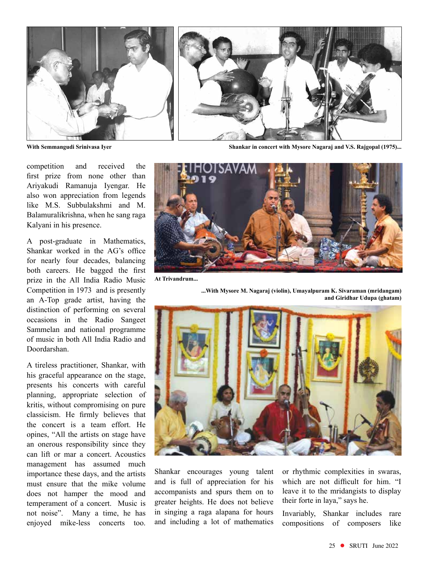

competition and received the first prize from none other than Ariyakudi Ramanuja Iyengar. He also won appreciation from legends like M.S. Subbulakshmi and M. Balamuralikrishna, when he sang raga Kalyani in his presence.

A post-graduate in Mathematics, Shankar worked in the AG's office for nearly four decades, balancing both careers. He bagged the first prize in the All India Radio Music Competition in 1973 and is presently an A-Top grade artist, having the distinction of performing on several occasions in the Radio Sangeet Sammelan and national programme of music in both All India Radio and Doordarshan.

A tireless practitioner, Shankar, with his graceful appearance on the stage, presents his concerts with careful planning, appropriate selection of kritis, without compromising on pure classicism. He firmly believes that the concert is a team effort. He opines, "All the artists on stage have an onerous responsibility since they can lift or mar a concert. Acoustics management has assumed much importance these days, and the artists must ensure that the mike volume does not hamper the mood and temperament of a concert. Music is not noise". Many a time, he has enjoyed mike-less concerts too.

**With Semmangudi Srinivasa Iyer Shankar in concert with Mysore Nagaraj and V.S. Rajgopal (1975)...**



**...With Mysore M. Nagaraj (violin), Umayalpuram K. Sivaraman (mridangam)** 

**At Trivandrum...**



Shankar encourages young talent and is full of appreciation for his accompanists and spurs them on to greater heights. He does not believe in singing a raga alapana for hours and including a lot of mathematics or rhythmic complexities in swaras, which are not difficult for him. "I leave it to the mridangists to display their forte in laya," says he.

Invariably, Shankar includes rare compositions of composers like